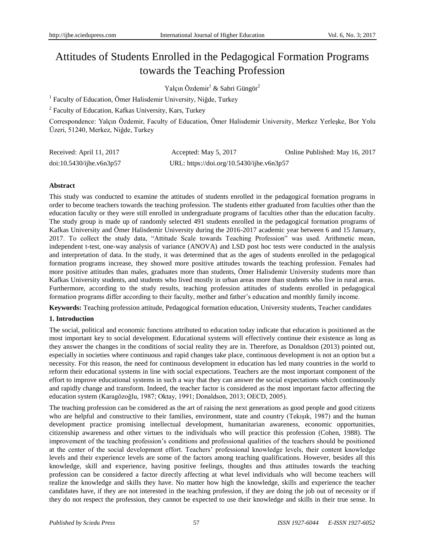# Attitudes of Students Enrolled in the Pedagogical Formation Programs towards the Teaching Profession

Yalçın Özdemir<sup>1</sup> & Sabri Güngör<sup>2</sup>

<sup>1</sup> Faculty of Education, Ömer Halisdemir University, Niğde, Turkey

<sup>2</sup> Faculty of Education, Kafkas University, Kars, Turkey

Correspondence: Yalçın Özdemir, Faculty of Education, Ömer Halisdemir University, Merkez Yerleşke, Bor Yolu Üzeri, 51240, Merkez, Niğde, Turkey

| Received: April 11, 2017 | Accepted: May 5, 2017                     | Online Published: May 16, 2017 |
|--------------------------|-------------------------------------------|--------------------------------|
| doi:10.5430/ijhe.v6n3p57 | URL: https://doi.org/10.5430/ijhe.v6n3p57 |                                |

# **Abstract**

This study was conducted to examine the attitudes of students enrolled in the pedagogical formation programs in order to become teachers towards the teaching profession. The students either graduated from faculties other than the education faculty or they were still enrolled in undergraduate programs of faculties other than the education faculty. The study group is made up of randomly selected 491 students enrolled in the pedagogical formation programs of Kafkas University and Ömer Halisdemir University during the 2016-2017 academic year between 6 and 15 January, 2017. To collect the study data, "Attitude Scale towards Teaching Profession" was used. Arithmetic mean, independent t-test, one-way analysis of variance (ANOVA) and LSD post hoc tests were conducted in the analysis and interpretation of data. In the study, it was determined that as the ages of students enrolled in the pedagogical formation programs increase, they showed more positive attitudes towards the teaching profession. Females had more positive attitudes than males, graduates more than students, Ömer Halisdemir University students more than Kafkas University students, and students who lived mostly in urban areas more than students who live in rural areas. Furthermore, according to the study results, teaching profession attitudes of students enrolled in pedagogical formation programs differ according to their faculty, mother and father's education and monthly family income.

**Keywords:** Teaching profession attitude, Pedagogical formation education, University students, Teacher candidates

# **1. Introduction**

The social, political and economic functions attributed to education today indicate that education is positioned as the most important key to social development. Educational systems will effectively continue their existence as long as they answer the changes in the conditions of social reality they are in. Therefore, as Donaldson (2013) pointed out, especially in societies where continuous and rapid changes take place, continuous development is not an option but a necessity. For this reason, the need for continuous development in education has led many countries in the world to reform their educational systems in line with social expectations. Teachers are the most important component of the effort to improve educational systems in such a way that they can answer the social expectations which continuously and rapidly change and transform. Indeed, the teacher factor is considered as the most important factor affecting the education system (Karagözoğlu, 1987; Oktay, 1991; Donaldson, 2013; OECD, 2005).

The teaching profession can be considered as the art of raising the next generations as good people and good citizens who are helpful and constructive to their families, environment, state and country (Tekışık, 1987) and the human development practice promising intellectual development, humanitarian awareness, economic opportunities, citizenship awareness and other virtues to the individuals who will practice this profession (Cohen, 1988). The improvement of the teaching profession's conditions and professional qualities of the teachers should be positioned at the center of the social development effort. Teachers' professional knowledge levels, their content knowledge levels and their experience levels are some of the factors among teaching qualifications. However, besides all this knowledge, skill and experience, having positive feelings, thoughts and thus attitudes towards the teaching profession can be considered a factor directly affecting at what level individuals who will become teachers will realize the knowledge and skills they have. No matter how high the knowledge, skills and experience the teacher candidates have, if they are not interested in the teaching profession, if they are doing the job out of necessity or if they do not respect the profession, they cannot be expected to use their knowledge and skills in their true sense. In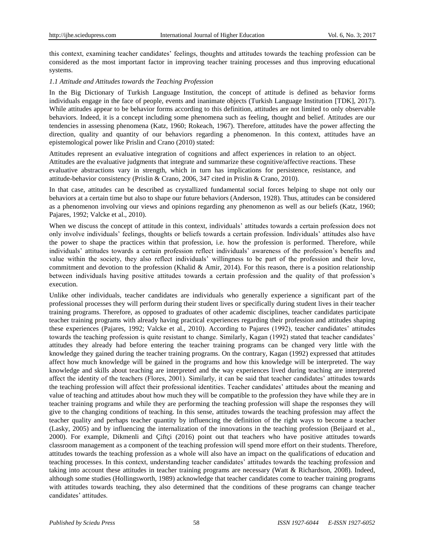this context, examining teacher candidates' feelings, thoughts and attitudes towards the teaching profession can be considered as the most important factor in improving teacher training processes and thus improving educational systems.

### *1.1 Attitude and Attitudes towards the Teaching Profession*

In the Big Dictionary of Turkish Language Institution, the concept of attitude is defined as behavior forms individuals engage in the face of people, events and inanimate objects (Turkish Language Institution [TDK], 2017). While attitudes appear to be behavior forms according to this definition, attitudes are not limited to only observable behaviors. Indeed, it is a concept including some phenomena such as feeling, thought and belief. Attitudes are our tendencies in assessing phenomena (Katz, 1960; Rokeach, 1967). Therefore, attitudes have the power affecting the direction, quality and quantity of our behaviors regarding a phenomenon. In this context, attitudes have an epistemological power like Prislin and Crano (2010) stated:

Attitudes represent an evaluative integration of cognitions and affect experiences in relation to an object. Attitudes are the evaluative judgments that integrate and summarize these cognitive/affective reactions. These evaluative abstractions vary in strength, which in turn has implications for persistence, resistance, and attitude-behavior consistency (Prislin & Crano, 2006, 347 cited in Prislin & Crano, 2010).

In that case, attitudes can be described as crystallized fundamental social forces helping to shape not only our behaviors at a certain time but also to shape our future behaviors (Anderson, 1928). Thus, attitudes can be considered as a phenomenon involving our views and opinions regarding any phenomenon as well as our beliefs (Katz, 1960; Pajares, 1992; Valcke et al., 2010).

When we discuss the concept of attitude in this context, individuals' attitudes towards a certain profession does not only involve individuals' feelings, thoughts or beliefs towards a certain profession. Individuals' attitudes also have the power to shape the practices within that profession, i.e. how the profession is performed. Therefore, while individuals' attitudes towards a certain profession reflect individuals' awareness of the profession's benefits and value within the society, they also reflect individuals' willingness to be part of the profession and their love, commitment and devotion to the profession (Khalid & Amir, 2014). For this reason, there is a position relationship between individuals having positive attitudes towards a certain profession and the quality of that profession's execution.

Unlike other individuals, teacher candidates are individuals who generally experience a significant part of the professional processes they will perform during their student lives or specifically during student lives in their teacher training programs. Therefore, as opposed to graduates of other academic disciplines, teacher candidates participate teacher training programs with already having practical experiences regarding their profession and attitudes shaping these experiences (Pajares, 1992; Valcke et al., 2010). According to Pajares (1992), teacher candidates' attitudes towards the teaching profession is quite resistant to change. Similarly, Kagan (1992) stated that teacher candidates' attitudes they already had before entering the teacher training programs can be changed very little with the knowledge they gained during the teacher training programs. On the contrary, Kagan (1992) expressed that attitudes affect how much knowledge will be gained in the programs and how this knowledge will be interpreted. The way knowledge and skills about teaching are interpreted and the way experiences lived during teaching are interpreted affect the identity of the teachers (Flores, 2001). Similarly, it can be said that teacher candidates' attitudes towards the teaching profession will affect their professional identities. Teacher candidates' attitudes about the meaning and value of teaching and attitudes about how much they will be compatible to the profession they have while they are in teacher training programs and while they are performing the teaching profession will shape the responses they will give to the changing conditions of teaching. In this sense, attitudes towards the teaching profession may affect the teacher quality and perhaps teacher quantity by influencing the definition of the right ways to become a teacher (Lasky, 2005) and by influencing the internalization of the innovations in the teaching profession (Beijaard et al., 2000). For example, Dikmenli and Çiftçi (2016) point out that teachers who have positive attitudes towards classroom management as a component of the teaching profession will spend more effort on their students. Therefore, attitudes towards the teaching profession as a whole will also have an impact on the qualifications of education and teaching processes. In this context, understanding teacher candidates' attitudes towards the teaching profession and taking into account these attitudes in teacher training programs are necessary (Watt & Richardson, 2008). Indeed, although some studies (Hollingsworth, 1989) acknowledge that teacher candidates come to teacher training programs with attitudes towards teaching, they also determined that the conditions of these programs can change teacher candidates' attitudes.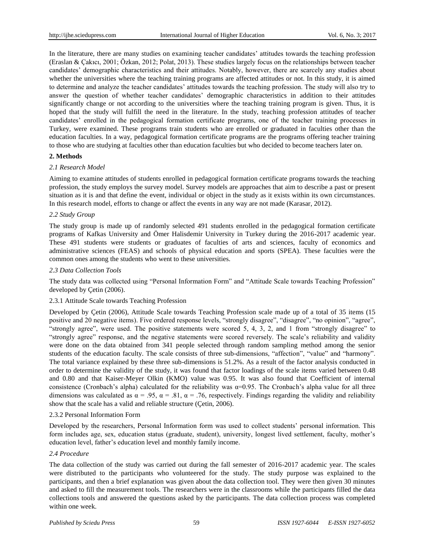In the literature, there are many studies on examining teacher candidates' attitudes towards the teaching profession (Eraslan & Çakıcı, 2001; Özkan, 2012; Polat, 2013). These studies largely focus on the relationships between teacher candidates' demographic characteristics and their attitudes. Notably, however, there are scarcely any studies about whether the universities where the teaching training programs are affected attitudes or not. In this study, it is aimed to determine and analyze the teacher candidates' attitudes towards the teaching profession. The study will also try to answer the question of whether teacher candidates' demographic characteristics in addition to their attitudes significantly change or not according to the universities where the teaching training program is given. Thus, it is hoped that the study will fulfill the need in the literature. In the study, teaching profession attitudes of teacher candidates' enrolled in the pedagogical formation certificate programs, one of the teacher training processes in Turkey, were examined. These programs train students who are enrolled or graduated in faculties other than the education faculties. In a way, pedagogical formation certificate programs are the programs offering teacher training to those who are studying at faculties other than education faculties but who decided to become teachers later on.

### **2. Methods**

### *2.1 Research Model*

Aiming to examine attitudes of students enrolled in pedagogical formation certificate programs towards the teaching profession, the study employs the survey model. Survey models are approaches that aim to describe a past or present situation as it is and that define the event, individual or object in the study as it exists within its own circumstances. In this research model, efforts to change or affect the events in any way are not made (Karasar, 2012).

#### *2.2 Study Group*

The study group is made up of randomly selected 491 students enrolled in the pedagogical formation certificate programs of Kafkas University and Ömer Halisdemir University in Turkey during the 2016-2017 academic year. These 491 students were students or graduates of faculties of arts and sciences, faculty of economics and administrative sciences (FEAS) and schools of physical education and sports (SPEA). These faculties were the common ones among the students who went to these universities.

### *2.3 Data Collection Tools*

The study data was collected using "Personal Information Form" and "Attitude Scale towards Teaching Profession" developed by Çetin (2006).

#### 2.3.1 Attitude Scale towards Teaching Profession

Developed by Çetin (2006), Attitude Scale towards Teaching Profession scale made up of a total of 35 items (15 positive and 20 negative items). Five ordered response levels, "strongly disagree", "disagree", "no opinion", "agree", "strongly agree", were used. The positive statements were scored 5, 4, 3, 2, and 1 from "strongly disagree" to "strongly agree" response, and the negative statements were scored reversely. The scale's reliability and validity were done on the data obtained from 341 people selected through random sampling method among the senior students of the education faculty. The scale consists of three sub-dimensions, "affection", "value" and "harmony". The total variance explained by these three sub-dimensions is 51.2%. As a result of the factor analysis conducted in order to determine the validity of the study, it was found that factor loadings of the scale items varied between 0.48 and 0.80 and that Kaiser-Meyer Olkin (KMO) value was 0.95. It was also found that Coefficient of internal consistence (Cronbach's alpha) calculated for the reliability was  $\alpha=0.95$ . The Cronbach's alpha value for all three dimensions was calculated as  $\alpha = .95$ ,  $\alpha = .81$ ,  $\alpha = .76$ , respectively. Findings regarding the validity and reliability show that the scale has a valid and reliable structure (Çetin, 2006).

## 2.3.2 Personal Information Form

Developed by the researchers, Personal Information form was used to collect students' personal information. This form includes age, sex, education status (graduate, student), university, longest lived settlement, faculty, mother's education level, father's education level and monthly family income.

#### *2.4 Procedure*

The data collection of the study was carried out during the fall semester of 2016-2017 academic year. The scales were distributed to the participants who volunteered for the study. The study purpose was explained to the participants, and then a brief explanation was given about the data collection tool. They were then given 30 minutes and asked to fill the measurement tools. The researchers were in the classrooms while the participants filled the data collections tools and answered the questions asked by the participants. The data collection process was completed within one week.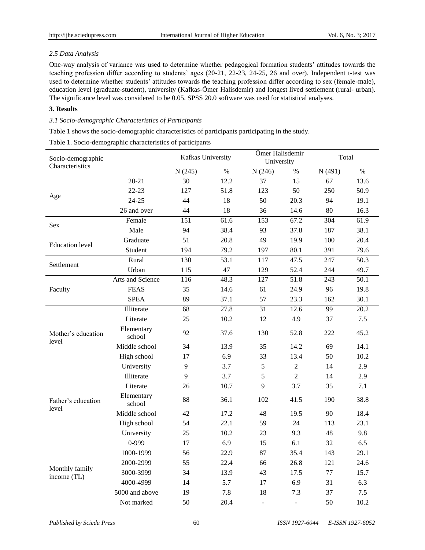# *2.5 Data Analysis*

One-way analysis of variance was used to determine whether pedagogical formation students' attitudes towards the teaching profession differ according to students' ages (20-21, 22-23, 24-25, 26 and over). Independent t-test was used to determine whether students' attitudes towards the teaching profession differ according to sex (female-male), education level (graduate-student), university (Kafkas-Ömer Halisdemir) and longest lived settlement (rural- urban). The significance level was considered to be 0.05. SPSS 20.0 software was used for statistical analyses.

# **3. Results**

# *3.1 Socio-demographic Characteristics of Participants*

Table 1 shows the socio-demographic characteristics of participants participating in the study.

Table 1. Socio-demographic characteristics of participants

| Socio-demographic<br>Characteristics |                      | Kafkas University |                  | Ömer Halisdemir<br>University |                 | Total  |      |  |
|--------------------------------------|----------------------|-------------------|------------------|-------------------------------|-----------------|--------|------|--|
|                                      |                      | N(245)            | $\%$             | N(246)                        | $\%$            | N(491) | $\%$ |  |
|                                      | $20 - 21$            | 30                | 12.2             | $\overline{37}$               | $\overline{15}$ | 67     | 13.6 |  |
| Age                                  | $22 - 23$            | 127               | 51.8             | 123                           | 50              | 250    | 50.9 |  |
|                                      | 24-25                | 44                | 18               | 50                            | 20.3            | 94     | 19.1 |  |
|                                      | 26 and over          | 44                | 18               | 36                            | 14.6            | 80     | 16.3 |  |
|                                      | Female               | 151               | 61.6             | 153                           | 67.2            | 304    | 61.9 |  |
| <b>Sex</b>                           | Male                 | 94                | 38.4             | 93                            | 37.8            | 187    | 38.1 |  |
| <b>Education</b> level               | Graduate             | $\overline{51}$   | 20.8             | 49                            | 19.9            | 100    | 20.4 |  |
|                                      | Student              | 194               | 79.2             | 197                           | 80.1            | 391    | 79.6 |  |
| Settlement                           | Rural                | 130               | 53.1             | 117                           | 47.5            | 247    | 50.3 |  |
|                                      | Urban                | 115               | 47               | 129                           | 52.4            | 244    | 49.7 |  |
|                                      | Arts and Science     | 116               | 48.3             | 127                           | 51.8            | 243    | 50.1 |  |
| Faculty                              | <b>FEAS</b>          | 35                | 14.6             | 61                            | 24.9            | 96     | 19.8 |  |
|                                      | <b>SPEA</b>          | 89                | 37.1             | 57                            | 23.3            | 162    | 30.1 |  |
|                                      | <b>Illiterate</b>    | 68                | 27.8             | 31                            | 12.6            | 99     | 20.2 |  |
|                                      | Literate             | 25                | 10.2             | 12                            | 4.9             | 37     | 7.5  |  |
| Mother's education                   | Elementary<br>school | 92                | 37.6             | 130                           | 52.8            | 222    | 45.2 |  |
| level                                | Middle school        | 34                | 13.9             | 35                            | 14.2            | 69     | 14.1 |  |
|                                      | High school          | 17                | 6.9              | 33                            | 13.4            | 50     | 10.2 |  |
|                                      | University           | 9                 | 3.7              | 5                             | 2               | 14     | 2.9  |  |
|                                      | Illiterate           | $\overline{9}$    | $\overline{3.7}$ | 5                             | $\overline{2}$  | 14     | 2.9  |  |
|                                      | Literate             | 26                | 10.7             | 9                             | 3.7             | 35     | 7.1  |  |
| Father's education                   | Elementary<br>school | 88                | 36.1             | 102                           | 41.5            | 190    | 38.8 |  |
| level                                | Middle school        | 42                | 17.2             | 48                            | 19.5            | 90     | 18.4 |  |
|                                      | High school          | 54                | 22.1             | 59                            | 24              | 113    | 23.1 |  |
|                                      | University           | 25                | 10.2             | 23                            | 9.3             | 48     | 9.8  |  |
|                                      | $0-999$              | 17                | 6.9              | $\overline{15}$               | 6.1             | 32     | 6.5  |  |
|                                      | 1000-1999            | 56                | 22.9             | 87                            | 35.4            | 143    | 29.1 |  |
|                                      | 2000-2999            | 55                | 22.4             | 66                            | 26.8            | 121    | 24.6 |  |
| Monthly family                       | 3000-3999            | 34                | 13.9             | 43                            | 17.5            | 77     | 15.7 |  |
| income (TL)                          | 4000-4999            | 14                | 5.7              | 17                            | 6.9             | 31     | 6.3  |  |
|                                      | 5000 and above       | 19                | 7.8              | 18                            | 7.3             | 37     | 7.5  |  |
|                                      | Not marked           | 50                | 20.4             | $\overline{\phantom{a}}$      |                 | 50     | 10.2 |  |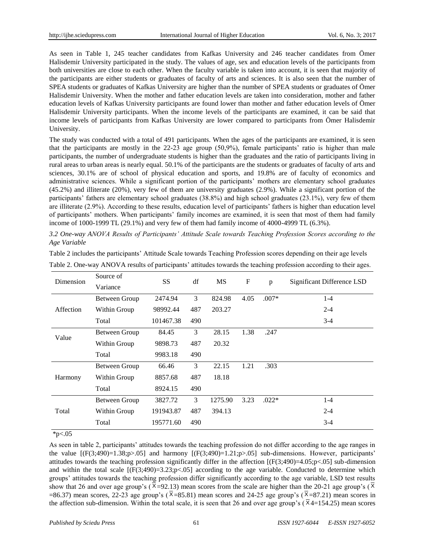As seen in Table 1, 245 teacher candidates from Kafkas University and 246 teacher candidates from Ömer Halisdemir University participated in the study. The values of age, sex and education levels of the participants from both universities are close to each other. When the faculty variable is taken into account, it is seen that majority of the participants are either students or graduates of faculty of arts and sciences. It is also seen that the number of SPEA students or graduates of Kafkas University are higher than the number of SPEA students or graduates of Ömer Halisdemir University. When the mother and father education levels are taken into consideration, mother and father education levels of Kafkas University participants are found lower than mother and father education levels of Ömer Halisdemir University participants. When the income levels of the participants are examined, it can be said that income levels of participants from Kafkas University are lower compared to participants from Ömer Halisdemir University.

The study was conducted with a total of 491 participants. When the ages of the participants are examined, it is seen that the participants are mostly in the 22-23 age group (50,9%), female participants' ratio is higher than male participants, the number of undergraduate students is higher than the graduates and the ratio of participants living in rural areas to urban areas is nearly equal. 50.1% of the participants are the students or graduates of faculty of arts and sciences, 30.1% are of school of physical education and sports, and 19.8% are of faculty of economics and administrative sciences. While a significant portion of the participants' mothers are elementary school graduates (45.2%) and illiterate (20%), very few of them are university graduates (2.9%). While a significant portion of the participants' fathers are elementary school graduates (38.8%) and high school graduates (23.1%), very few of them are illiterate (2.9%). According to these results, education level of participants' fathers is higher than education level of participants' mothers. When participants' family incomes are examined, it is seen that most of them had family income of 1000-1999 TL (29.1%) and very few of them had family income of 4000-4999 TL (6.3%).

*3.2 One-way ANOVA Results of Participants' Attitude Scale towards Teaching Profession Scores according to the Age Variable* 

| Dimension | Source of<br>Variance | <b>SS</b> | df  | <b>MS</b> | $\mathbf F$ | p       | Significant Difference LSD |
|-----------|-----------------------|-----------|-----|-----------|-------------|---------|----------------------------|
|           | Between Group         | 2474.94   | 3   | 824.98    | 4.05        | $.007*$ | $1 - 4$                    |
| Affection | Within Group          | 98992.44  | 487 | 203.27    |             |         | $2 - 4$                    |
|           | Total                 | 101467.38 | 490 |           |             |         | $3-4$                      |
| Value     | Between Group         | 84.45     | 3   | 28.15     | 1.38        | .247    |                            |
|           | Within Group          | 9898.73   | 487 | 20.32     |             |         |                            |
|           | Total                 | 9983.18   | 490 |           |             |         |                            |
|           | Between Group         | 66.46     | 3   | 22.15     | 1.21        | .303    |                            |
| Harmony   | Within Group          | 8857.68   | 487 | 18.18     |             |         |                            |
|           | Total                 | 8924.15   | 490 |           |             |         |                            |
| Total     | Between Group         | 3827.72   | 3   | 1275.90   | 3.23        | $.022*$ | $1 - 4$                    |
|           | Within Group          | 191943.87 | 487 | 394.13    |             |         | $2 - 4$                    |
|           | Total                 | 195771.60 | 490 |           |             |         | $3-4$                      |

Table 2 includes the participants' Attitude Scale towards Teaching Profession scores depending on their age levels Table 2. One-way ANOVA results of participants' attitudes towards the teaching profession according to their ages.

\*p $< 05$ 

As seen in table 2, participants' attitudes towards the teaching profession do not differ according to the age ranges in the value  $[(F(3,490)=1.38;p>0.05]$  and harmony  $[(F(3,490)=1.21;p>0.05]$  sub-dimensions. However, participants' attitudes towards the teaching profession significantly differ in the affection  $[(F(3,490)=4.05; p<.05]$  sub-dimension and within the total scale [(F(3;490)=3.23;p<.05] according to the age variable. Conducted to determine which groups' attitudes towards the teaching profession differ significantly according to the age variable, LSD test results show that 26 and over age group's ( $X=92.13$ ) mean scores from the scale are higher than the 20-21 age group's ( $X$ )  $=$ 86.37) mean scores, 22-23 age group's ( $X=$ 85.81) mean scores and 24-25 age group's ( $X=$ 87.21) mean scores in the affection sub-dimension. Within the total scale, it is seen that 26 and over age group's ( X 4=154.25) mean scores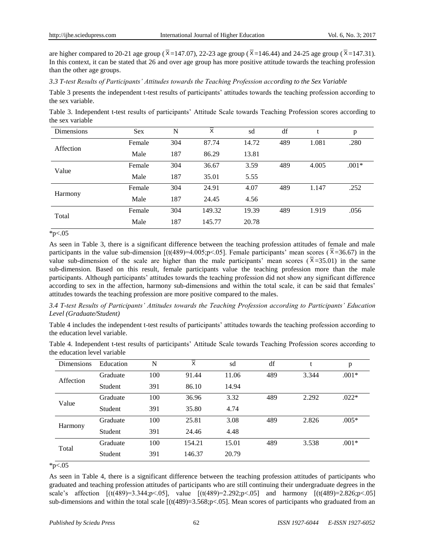are higher compared to 20-21 age group ( $X=147.07$ ), 22-23 age group ( $X=146.44$ ) and 24-25 age group ( $X=147.31$ ). In this context, it can be stated that 26 and over age group has more positive attitude towards the teaching profession than the other age groups.

*3.3 T-test Results of Participants' Attitudes towards the Teaching Profession according to the Sex Variable*

Table 3 presents the independent t-test results of participants' attitudes towards the teaching profession according to the sex variable.

Table 3. Independent t-test results of participants' Attitude Scale towards Teaching Profession scores according to the sex variable

| Dimensions | <b>Sex</b> | N   | -<br>X | sd    | df  | $\leftarrow$<br>τ | p       |
|------------|------------|-----|--------|-------|-----|-------------------|---------|
| Affection  | Female     | 304 | 87.74  | 14.72 | 489 | 1.081             | .280    |
|            | Male       | 187 | 86.29  | 13.81 |     |                   |         |
| Value      | Female     | 304 | 36.67  | 3.59  | 489 | 4.005             | $.001*$ |
|            | Male       | 187 | 35.01  | 5.55  |     |                   |         |
|            | Female     | 304 | 24.91  | 4.07  | 489 | 1.147             | .252    |
| Harmony    | Male       | 187 | 24.45  | 4.56  |     |                   |         |
| Total      | Female     | 304 | 149.32 | 19.39 | 489 | 1.919             | .056    |
|            | Male       | 187 | 145.77 | 20.78 |     |                   |         |

 $*p<.05$ 

As seen in Table 3, there is a significant difference between the teaching profession attitudes of female and male participants in the value sub-dimension  $[(t(489)=4.005; p<0.05]$ . Female participants' mean scores (X=36.67) in the value sub-dimension of the scale are higher than the male participants' mean scores  $(X=35.01)$  in the same sub-dimension. Based on this result, female participants value the teaching profession more than the male participants. Although participants' attitudes towards the teaching profession did not show any significant difference according to sex in the affection, harmony sub-dimensions and within the total scale, it can be said that females' attitudes towards the teaching profession are more positive compared to the males.

*3.4 T-test Results of Participants' Attitudes towards the Teaching Profession according to Participants' Education Level (Graduate/Student)* 

Table 4 includes the independent t-test results of participants' attitudes towards the teaching profession according to the education level variable.

Table 4. Independent t-test results of participants' Attitude Scale towards Teaching Profession scores according to the education level variable

| <b>Dimensions</b> | Education | N   | Ī<br>X | sd    | df  |       | p       |
|-------------------|-----------|-----|--------|-------|-----|-------|---------|
| Affection         | Graduate  | 100 | 91.44  | 11.06 | 489 | 3.344 | $.001*$ |
|                   | Student   | 391 | 86.10  | 14.94 |     |       |         |
| Value             | Graduate  | 100 | 36.96  | 3.32  | 489 | 2.292 | $.022*$ |
|                   | Student   | 391 | 35.80  | 4.74  |     |       |         |
|                   | Graduate  | 100 | 25.81  | 3.08  | 489 | 2.826 | $.005*$ |
| Harmony           | Student   | 391 | 24.46  | 4.48  |     |       |         |
| Total             | Graduate  | 100 | 154.21 | 15.01 | 489 | 3.538 | $.001*$ |
|                   | Student   | 391 | 146.37 | 20.79 |     |       |         |

 $*p<.05$ 

As seen in Table 4, there is a significant difference between the teaching profession attitudes of participants who graduated and teaching profession attitudes of participants who are still continuing their undergraduate degrees in the scale's affection  $[(t(489)=3.344; p<0.05]$ , value  $[(t(489)=2.292; p<0.05]$  and harmony  $[(t(489)=2.826; p<0.05]$ sub-dimensions and within the total scale  $[(t(489)=3.568;p<.05]$ . Mean scores of participants who graduated from an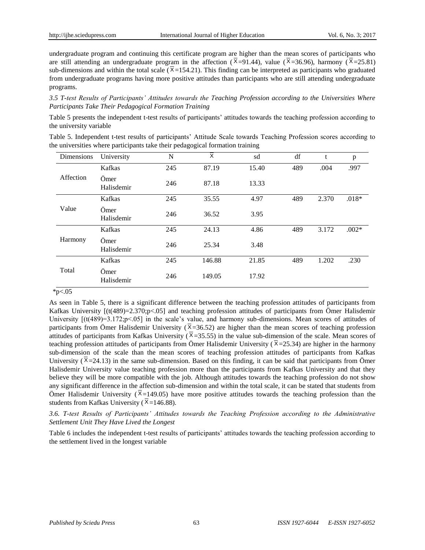undergraduate program and continuing this certificate program are higher than the mean scores of participants who are still attending an undergraduate program in the affection  $(X=91.44)$ , value  $(X=36.96)$ , harmony  $(X=25.81)$ sub-dimensions and within the total scale  $(X=154.21)$ . This finding can be interpreted as participants who graduated from undergraduate programs having more positive attitudes than participants who are still attending undergraduate programs.

*3.5 T-test Results of Participants' Attitudes towards the Teaching Profession according to the Universities Where Participants Take Their Pedagogical Formation Training*

Table 5 presents the independent t-test results of participants' attitudes towards the teaching profession according to the university variable

Table 5. Independent t-test results of participants' Attitude Scale towards Teaching Profession scores according to the universities where participants take their pedagogical formation training

| Dimensions | University         | $\mathbf N$ | $\overline{\overline{x}}$ | sd    | df  | t     | p       |
|------------|--------------------|-------------|---------------------------|-------|-----|-------|---------|
|            | Kafkas             | 245         | 87.19                     | 15.40 | 489 | .004  | .997    |
| Affection  | Ömer<br>Halisdemir | 246         | 87.18                     | 13.33 |     |       |         |
|            | Kafkas             | 245         | 35.55                     | 4.97  | 489 | 2.370 | $.018*$ |
| Value      | Ömer<br>Halisdemir | 246         | 36.52                     | 3.95  |     |       |         |
|            | Kafkas             | 245         | 24.13                     | 4.86  | 489 | 3.172 | $.002*$ |
| Harmony    | Ömer<br>Halisdemir | 246         | 25.34                     | 3.48  |     |       |         |
|            | Kafkas             | 245         | 146.88                    | 21.85 | 489 | 1.202 | .230    |
| Total      | Ömer<br>Halisdemir | 246         | 149.05                    | 17.92 |     |       |         |

#### $*p<.05$

As seen in Table 5, there is a significant difference between the teaching profession attitudes of participants from Kafkas University [(t(489)=2.370;p<.05] and teaching profession attitudes of participants from Ömer Halisdemir University  $[(t(489)=3.172;p<.05]$  in the scale's value, and harmony sub-dimensions. Mean scores of attitudes of participants from Ömer Halisdemir University ( $X=36.52$ ) are higher than the mean scores of teaching profession attitudes of participants from Kafkas University ( X =35.55) in the value sub-dimension of the scale. Mean scores of teaching profession attitudes of participants from Ömer Halisdemir University ( $X=25.34$ ) are higher in the harmony sub-dimension of the scale than the mean scores of teaching profession attitudes of participants from Kafkas University  $(X=24.13)$  in the same sub-dimension. Based on this finding, it can be said that participants from Ömer Halisdemir University value teaching profession more than the participants from Kafkas University and that they believe they will be more compatible with the job. Although attitudes towards the teaching profession do not show any significant difference in the affection sub-dimension and within the total scale, it can be stated that students from Ömer Halisdemir University ( $X=149.05$ ) have more positive attitudes towards the teaching profession than the students from Kafkas University ( $X=146.88$ ).

*3.6. T-test Results of Participants' Attitudes towards the Teaching Profession according to the Administrative Settlement Unit They Have Lived the Longest* 

Table 6 includes the independent t-test results of participants' attitudes towards the teaching profession according to the settlement lived in the longest variable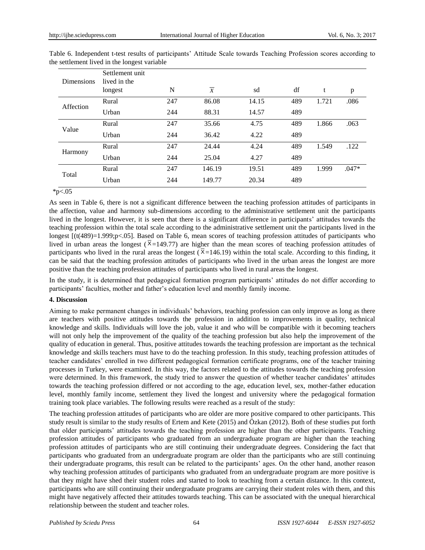| <b>Dimensions</b> | Settlement unit<br>lived in the |     |                |       |     |       |         |
|-------------------|---------------------------------|-----|----------------|-------|-----|-------|---------|
|                   | longest                         | N   | $\overline{X}$ | sd    | df  | t     | p       |
| Affection         | Rural                           | 247 | 86.08          | 14.15 | 489 | 1.721 | .086    |
|                   | Urban                           | 244 | 88.31          | 14.57 | 489 |       |         |
| Value             | Rural                           | 247 | 35.66          | 4.75  | 489 | 1.866 | .063    |
|                   | Urban                           | 244 | 36.42          | 4.22  | 489 |       |         |
| Harmony           | Rural                           | 247 | 24.44          | 4.24  | 489 | 1.549 | .122    |
|                   | Urban                           | 244 | 25.04          | 4.27  | 489 |       |         |
| Total             | Rural                           | 247 | 146.19         | 19.51 | 489 | 1.999 | $.047*$ |
|                   | Urban                           | 244 | 149.77         | 20.34 | 489 |       |         |

Table 6. Independent t-test results of participants' Attitude Scale towards Teaching Profession scores according to the settlement lived in the longest variable

 $*_{p<.05}$ 

As seen in Table 6, there is not a significant difference between the teaching profession attitudes of participants in the affection, value and harmony sub-dimensions according to the administrative settlement unit the participants lived in the longest. However, it is seen that there is a significant difference in participants' attitudes towards the teaching profession within the total scale according to the administrative settlement unit the participants lived in the longest [(t(489)=1.999;p<.05]. Based on Table 6, mean scores of teaching profession attitudes of participants who lived in urban areas the longest  $(X=149.77)$  are higher than the mean scores of teaching profession attitudes of participants who lived in the rural areas the longest  $(X=146.19)$  within the total scale. According to this finding, it can be said that the teaching profession attitudes of participants who lived in the urban areas the longest are more positive than the teaching profession attitudes of participants who lived in rural areas the longest.

In the study, it is determined that pedagogical formation program participants' attitudes do not differ according to participants' faculties, mother and father's education level and monthly family income.

#### **4. Discussion**

Aiming to make permanent changes in individuals' behaviors, teaching profession can only improve as long as there are teachers with positive attitudes towards the profession in addition to improvements in quality, technical knowledge and skills. Individuals will love the job, value it and who will be compatible with it becoming teachers will not only help the improvement of the quality of the teaching profession but also help the improvement of the quality of education in general. Thus, positive attitudes towards the teaching profession are important as the technical knowledge and skills teachers must have to do the teaching profession. In this study, teaching profession attitudes of teacher candidates' enrolled in two different pedagogical formation certificate programs, one of the teacher training processes in Turkey, were examined. In this way, the factors related to the attitudes towards the teaching profession were determined. In this framework, the study tried to answer the question of whether teacher candidates' attitudes towards the teaching profession differed or not according to the age, education level, sex, mother-father education level, monthly family income, settlement they lived the longest and university where the pedagogical formation training took place variables. The following results were reached as a result of the study:

The teaching profession attitudes of participants who are older are more positive compared to other participants. This study result is similar to the study results of Ertem and Kete (2015) and Özkan (2012). Both of these studies put forth that older participants' attitudes towards the teaching profession are higher than the other participants. Teaching profession attitudes of participants who graduated from an undergraduate program are higher than the teaching profession attitudes of participants who are still continuing their undergraduate degrees. Considering the fact that participants who graduated from an undergraduate program are older than the participants who are still continuing their undergraduate programs, this result can be related to the participants' ages. On the other hand, another reason why teaching profession attitudes of participants who graduated from an undergraduate program are more positive is that they might have shed their student roles and started to look to teaching from a certain distance. In this context, participants who are still continuing their undergraduate programs are carrying their student roles with them, and this might have negatively affected their attitudes towards teaching. This can be associated with the unequal hierarchical relationship between the student and teacher roles.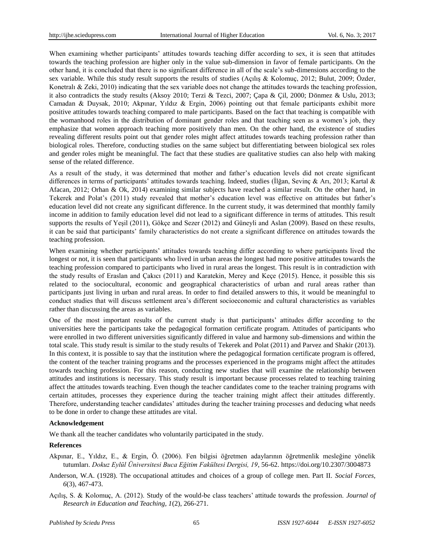When examining whether participants' attitudes towards teaching differ according to sex, it is seen that attitudes towards the teaching profession are higher only in the value sub-dimension in favor of female participants. On the other hand, it is concluded that there is no significant difference in all of the scale's sub-dimensions according to the sex variable. While this study result supports the results of studies (Açılış & Kolomuç, 2012; Bulut, 2009; Özder, Konetralı & Zeki, 2010) indicating that the sex variable does not change the attitudes towards the teaching profession, it also contradicts the study results (Aksoy 2010; Terzi & Tezci, 2007; Çapa & Çil, 2000; Dönmez & Uslu, 2013; Camadan & Duysak, 2010; Akpınar, Yıldız & Ergin, 2006) pointing out that female participants exhibit more positive attitudes towards teaching compared to male participants. Based on the fact that teaching is compatible with the womanhood roles in the distribution of dominant gender roles and that teaching seen as a women's job, they emphasize that women approach teaching more positively than men. On the other hand, the existence of studies revealing different results point out that gender roles might affect attitudes towards teaching profession rather than biological roles. Therefore, conducting studies on the same subject but differentiating between biological sex roles and gender roles might be meaningful. The fact that these studies are qualitative studies can also help with making sense of the related difference.

As a result of the study, it was determined that mother and father's education levels did not create significant differences in terms of participants' attitudes towards teaching. Indeed, studies (İlğan, Sevinç & Arı, 2013; Kartal & Afacan, 2012; Orhan & Ok, 2014) examining similar subjects have reached a similar result. On the other hand, in Tekerek and Polat's (2011) study revealed that mother's education level was effective on attitudes but father's education level did not create any significant difference. In the current study, it was determined that monthly family income in addition to family education level did not lead to a significant difference in terms of attitudes. This result supports the results of Yeşil (2011), Gökçe and Sezer (2012) and Güneyli and Aslan (2009). Based on these results, it can be said that participants' family characteristics do not create a significant difference on attitudes towards the teaching profession.

When examining whether participants' attitudes towards teaching differ according to where participants lived the longest or not, it is seen that participants who lived in urban areas the longest had more positive attitudes towards the teaching profession compared to participants who lived in rural areas the longest. This result is in contradiction with the study results of Eraslan and Çakıcı (2011) and Karatekin, Merey and Keçe (2015). Hence, it possible this sis related to the sociocultural, economic and geographical characteristics of urban and rural areas rather than participants just living in urban and rural areas. In order to find detailed answers to this, it would be meaningful to conduct studies that will discuss settlement area's different socioeconomic and cultural characteristics as variables rather than discussing the areas as variables.

One of the most important results of the current study is that participants' attitudes differ according to the universities here the participants take the pedagogical formation certificate program. Attitudes of participants who were enrolled in two different universities significantly differed in value and harmony sub-dimensions and within the total scale. This study result is similar to the study results of Tekerek and Polat (2011) and Parvez and Shakir (2013). In this context, it is possible to say that the institution where the pedagogical formation certificate program is offered, the content of the teacher training programs and the processes experienced in the programs might affect the attitudes towards teaching profession. For this reason, conducting new studies that will examine the relationship between attitudes and institutions is necessary. This study result is important because processes related to teaching training affect the attitudes towards teaching. Even though the teacher candidates come to the teacher training programs with certain attitudes, processes they experience during the teacher training might affect their attitudes differently. Therefore, understanding teacher candidates' attitudes during the teacher training processes and deducing what needs to be done in order to change these attitudes are vital.

## **Acknowledgement**

We thank all the teacher candidates who voluntarily participated in the study.

# **References**

- Akpınar, E., Yıldız, E., & Ergin, Ö. (2006). Fen bilgisi öğretmen adaylarının öğretmenlik mesleğine yönelik tutumları. *Dokuz Eylül Üniversitesi Buca Eğitim Fakültesi Dergisi, 19*, 56-62. <https://doi.org/10.2307/3004873>
- Anderson, W.A. (1928). The occupational attitudes and choices of a group of college men. Part II. *Social Forces*, *6*(3), 467-473.
- Açılış, S. & Kolomuç, A. (2012). Study of the would-be class teachers' attitude towards the profession. *Journal of Research in Education and Teaching, 1*(2), 266-271.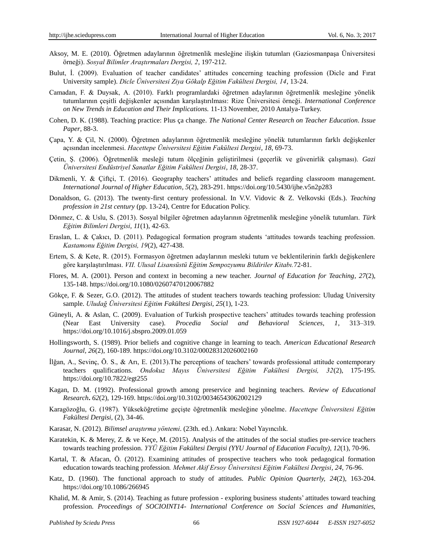- Aksoy, M. E. (2010). Öğretmen adaylarının öğretmenlik mesleğine ilişkin tutumları (Gaziosmanpaşa Üniversitesi örneği). *Sosyal Bilimler Araştırmaları Dergisi, 2*, 197-212.
- Bulut, İ. (2009). Evaluation of teacher candidates' attitudes concerning teaching profession (Dicle and Fırat University sample). *Dicle Üniversitesi Ziya Gökalp Eğitim Fakültesi Dergisi, 14*, 13-24.
- Camadan, F. & Duysak, A. (2010). Farklı programlardaki öğretmen adaylarının öğretmenlik mesleğine yönelik tutumlarının çeşitli değişkenler açısından karşılaştırılması: Rize Üniversitesi örneği. *International Conference on New Trends in Education and Their Implications.* 11-13 November, 2010 Antalya-Turkey.
- Cohen, D. K. (1988). Teaching practice: Plus ça change. *The National Center Research on Teacher Education*. *Issue Paper*, 88-3.
- Çapa, Y. & Çil, N. (2000). Öğretmen adaylarının öğretmenlik mesleğine yönelik tutumlarının farklı değişkenler açısından incelenmesi. *Hacettepe Üniversitesi Eğitim Fakültesi Dergisi, 18*, 69-73.
- Çetin, Ş. (2006). Öğretmenlik mesleği tutum ölçeğinin geliştirilmesi (geçerlik ve güvenirlik çalışması). *Gazi Üniversitesi Endüstriyel Sanatlar Eğitim Fakültesi Dergisi, 18*, 28-37.
- Dikmenli, Y. & Çiftçi, T. (2016). Geography teachers' attitudes and beliefs regarding classroom management. *International Journal of Higher Education*, *5*(2), 283-291.<https://doi.org/10.5430/ijhe.v5n2p283>
- Donaldson, G. (2013). The twenty-first century professional. In V.V. Vidovic & Z. Velkovski (Eds.). *Teaching profession in 21st century* (pp. 13-24), Centre for Education Policy.
- Dönmez, C. & Uslu, S. (2013). Sosyal bilgiler öğretmen adaylarının öğretmenlik mesleğine yönelik tutumları. *Türk Eğitim Bilimleri Dergisi, 11*(1), 42-63.
- Eraslan, L. & Çakıcı, D. (2011). Pedagogical formation program students 'attitudes towards teaching profession. *Kastamonu Eğitim Dergisi, 19*(2), 427-438.
- Ertem, S. & Kete, R. (2015). Formasyon öğretmen adaylarının mesleki tutum ve beklentilerinin farklı değişkenlere göre karşılaştırılması. *VII. Ulusal Lisansüstü Eğitim Sempozyumu Bildiriler Kitabı.*72-81.
- Flores, M. A. (2001). Person and context in becoming a new teacher. *Journal of Education for Teaching, 27*(2), 135-148.<https://doi.org/10.1080/02607470120067882>
- Gökçe, F. & Sezer, G.O. (2012). The attitudes of student teachers towards teaching profession: Uludag University sample. *Uludağ Üniversitesi Eğitim Fakültesi Dergisi, 25*(1), 1-23.
- Güneyli, A. & Aslan, C. (2009). Evaluation of Turkish prospective teachers' attitudes towards teaching profession (Near East University case). *Procedia Social and Behavioral Sciences, 1*, 313–319. <https://doi.org/10.1016/j.sbspro.2009.01.059>
- Hollingsworth, S. (1989). Prior beliefs and cognitive change in learning to teach. *American Educational Research Journal, 26*(2), 160-189.<https://doi.org/10.3102/00028312026002160>
- İlğan, A., Sevinç, Ö. S., & Arı, E. (2013).The perceptions of teachers' towards professional attitude contemporary teachers qualifications. *Ondokuz Mayıs Üniversitesi Eğitim Fakültesi Dergisi, 32*(2), 175-195. https://doi.org/10.7822/egt255
- Kagan, D. M. (1992). Professional growth among preservice and beginning teachers. *Review of Educational Research***.** *62*(2), 129-169[. https://doi.org/10.3102/00346543062002129](https://doi.org/10.3102/00346543062002129)
- Karagözoğlu, G. (1987). [Yükseköğretime geçişte öğretmenlik mesleğine yönelme.](http://dergipark.ulakbim.gov.tr/hunefd/article/view/5000049378) *Hacettepe Üniversitesi Eğitim Fakültesi Dergisi,* (2), 34-46.
- Karasar, N. (2012). *Bilimsel araştırma yöntemi*. (23th. ed.). Ankara: Nobel Yayıncılık.
- Karatekin, K. & Merey, Z. & ve Ke  $\mathfrak{E}$ , M. (2015). Analysis of the attitudes of the social studies pre-service teachers towards teaching profession. *YYÜ Eğitim Fakültesi Dergisi (YYU Journal of Education Faculty), 12*(1), 70-96.
- Kartal, T. & Afacan, Ö. (2012). Examining attitudes of prospective teachers who took pedagogical formation education towards teaching profession*. Mehmet Akif Ersoy Üniversitesi Eğitim Fakültesi Dergisi, 24*, 76-96.
- Katz, D. (1960). The functional approach to study of attitudes. *Public Opinion Quarterly, 24*(2), 163-204. <https://doi.org/10.1086/266945>
- Khalid, M. & Amir, S. (2014). Teaching as future profession exploring business students' attitudes toward teaching profession. *Proceedings of SOCIOINT14- International Conference on Social Sciences and Humanities,*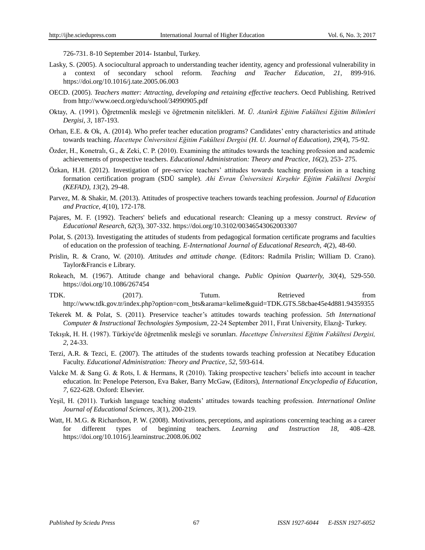726-731. 8-10 September 2014- Istanbul, Turkey.

- Lasky, S. (2005). A sociocultural approach to understanding teacher identity, agency and professional vulnerability in a context of secondary school reform. *Teaching and Teacher Education, 21*, 899-916. <https://doi.org/10.1016/j.tate.2005.06.003>
- OECD. (2005). *Teachers matter: Attracting, developing and retaining effective teachers*. Oecd Publishing. Retrived from http://www.oecd.org/edu/school/34990905.pdf
- Oktay, A. (1991). Öğretmenlik mesleği ve öğretmenin nitelikleri. *M. Ü. Atatürk Eğitim Fakültesi Eğitim Bilimleri Dergisi, 3*, 187-193.
- Orhan, E.E. & Ok, A. (2014). Who prefer teacher education programs? Candidates' entry characteristics and attitude towards teaching. *Hacettepe Üniversitesi Eğitim Fakültesi Dergisi (H. U. Journal of Education)*, *29*(4), 75-92.
- Özder, H., Konetralı, G., & Zeki, C. P. (2010). Examining the attitudes towards the teaching profession and academic achievements of prospective teachers. *Educational Administration: Theory and Practice*, *16*(2), 253- 275.
- Özkan, H.H. (2012). Investigation of pre-service teachers' attitudes towards teaching profession in a teaching formation certification program (SDÜ sample). *Ahi Evran Üniversitesi Kırşehir Eğitim Fakültesi Dergisi (KEFAD), 13*(2), 29-48.
- Parvez, M. & Shakir, M. (2013). Attitudes of prospective teachers towards teaching profession. *Journal of Education and Practice, 4*(10), 172-178.
- Pajares, M. F. (1992). Teachers' beliefs and educational research: Cleaning up a messy construct. *Review of Educational Research, 62*(3), 307-332. <https://doi.org/10.3102/00346543062003307>
- Polat, S. (2013). Investigating the attitudes of students from pedagogical formation certificate programs and faculties of education on the profession of teaching. *E-International Journal of Educational Research, 4*(2), 48-60.
- Prislin, R. & Crano, W. (2010). *Attitudes and attitude change.* (Editors: Radmila Prislin; William D. Crano). Taylor&Francis e Library.
- Rokeach, M. (1967). Attitude change and behavioral change*. Public Opinion Quarterly, 30*(4), 529-550. <https://doi.org/10.1086/267454>
- TDK. (2017). Tutum. Retrieved from http://www.tdk.gov.tr/index.php?option=com\_bts&arama=kelime&guid=TDK.GTS.58cbae45e4d881.94359355
- Tekerek M. & Polat, S. (2011). Preservice teacher's attitudes towards teaching profession. *5th International Computer & Instructional Technologies Symposium,* 22-24 September 2011, Fırat University, Elazığ- Turkey.
- Tekışık, H. H. (1987). Türkiye'de öğretmenlik mesleği ve sorunları. *Hacettepe Üniversitesi Eğitim Fakültesi Dergisi, 2*, 24-33.
- Terzi, A.R. & Tezci, E. (2007). The attitudes of the students towards teaching profession at Necatibey Education Faculty. *Educational Administration: Theory and Practice, 52*, 593-614.
- Valcke M. & Sang G. & Rots, I. & Hermans, R (2010). Taking prospective teachers' beliefs into account in teacher education. In: Penelope Peterson, Eva Baker, Barry McGaw, (Editors), *International Encyclopedia of Education, 7*, 622-628. Oxford: Elsevier.
- Yeşil, H. (2011). Turkish language teaching students' attitudes towards teaching profession. *International Online Journal of Educational Sciences, 3*(1), 200-219.
- Watt, H. M.G. & Richardson, P. W. (2008). Motivations, perceptions, and aspirations concerning teaching as a career for different types of beginning teachers. *Learning and Instruction 18,* 408–428. <https://doi.org/10.1016/j.learninstruc.2008.06.002>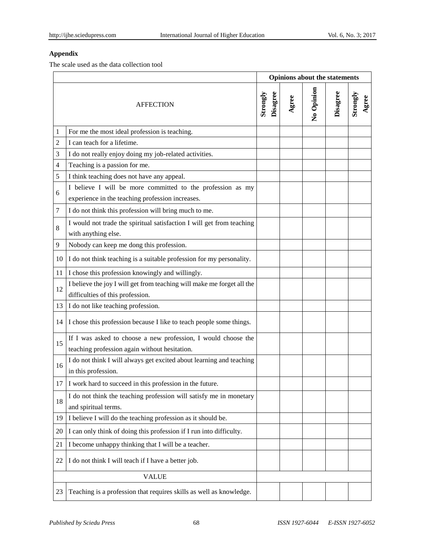# **Appendix**

The scale used as the data collection tool

|              |                                                                                                                | <b>Opinions about the statements</b> |       |            |          |                   |
|--------------|----------------------------------------------------------------------------------------------------------------|--------------------------------------|-------|------------|----------|-------------------|
|              | <b>AFFECTION</b>                                                                                               | Strongly<br>Disagree                 | Agree | No Opinion | Disagree | Strongly<br>Agree |
| $\mathbf{1}$ | For me the most ideal profession is teaching.                                                                  |                                      |       |            |          |                   |
| 2            | I can teach for a lifetime.                                                                                    |                                      |       |            |          |                   |
| 3            | I do not really enjoy doing my job-related activities.                                                         |                                      |       |            |          |                   |
| 4            | Teaching is a passion for me.                                                                                  |                                      |       |            |          |                   |
| 5            | I think teaching does not have any appeal.                                                                     |                                      |       |            |          |                   |
| 6            | I believe I will be more committed to the profession as my<br>experience in the teaching profession increases. |                                      |       |            |          |                   |
| 7            | I do not think this profession will bring much to me.                                                          |                                      |       |            |          |                   |
| 8            | I would not trade the spiritual satisfaction I will get from teaching<br>with anything else.                   |                                      |       |            |          |                   |
| 9            | Nobody can keep me dong this profession.                                                                       |                                      |       |            |          |                   |
| 10           | I do not think teaching is a suitable profession for my personality.                                           |                                      |       |            |          |                   |
| 11           | I chose this profession knowingly and willingly.                                                               |                                      |       |            |          |                   |
| 12           | I believe the joy I will get from teaching will make me forget all the                                         |                                      |       |            |          |                   |
|              | difficulties of this profession.                                                                               |                                      |       |            |          |                   |
| 13           | I do not like teaching profession.                                                                             |                                      |       |            |          |                   |
| 14           | I chose this profession because I like to teach people some things.                                            |                                      |       |            |          |                   |
| 15           | If I was asked to choose a new profession, I would choose the                                                  |                                      |       |            |          |                   |
|              | teaching profession again without hesitation.                                                                  |                                      |       |            |          |                   |
| 16           | I do not think I will always get excited about learning and teaching<br>in this profession.                    |                                      |       |            |          |                   |
|              | 17   I work hard to succeed in this profession in the future.                                                  |                                      |       |            |          |                   |
| 18           | I do not think the teaching profession will satisfy me in monetary<br>and spiritual terms.                     |                                      |       |            |          |                   |
| 19           | I believe I will do the teaching profession as it should be.                                                   |                                      |       |            |          |                   |
| 20           | I can only think of doing this profession if I run into difficulty.                                            |                                      |       |            |          |                   |
| 21           | I become unhappy thinking that I will be a teacher.                                                            |                                      |       |            |          |                   |
| 22           | I do not think I will teach if I have a better job.                                                            |                                      |       |            |          |                   |
|              | <b>VALUE</b>                                                                                                   |                                      |       |            |          |                   |
| 23           | Teaching is a profession that requires skills as well as knowledge.                                            |                                      |       |            |          |                   |